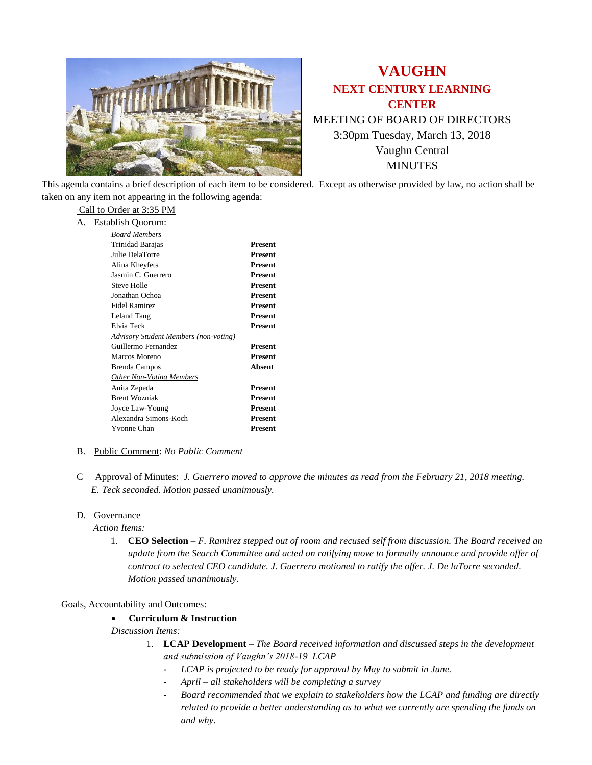

This agenda contains a brief description of each item to be considered. Except as otherwise provided by law, no action shall be taken on any item not appearing in the following agenda:

# Call to Order at 3:35 PM

| А. | <b>Establish Quorum:</b> |  |
|----|--------------------------|--|
|    |                          |  |

| Board Members                                |                |  |  |
|----------------------------------------------|----------------|--|--|
| Trinidad Barajas                             | Present        |  |  |
| Julie DelaTorre                              | Present        |  |  |
| Alina Kheyfets                               | <b>Present</b> |  |  |
| Jasmin C. Guerrero                           | Present        |  |  |
| Steve Holle                                  | Present        |  |  |
| Jonathan Ochoa                               | Present        |  |  |
| <b>Fidel Ramirez</b>                         | Present        |  |  |
| Leland Tang                                  | <b>Present</b> |  |  |
| Elvia Teck                                   | Present        |  |  |
| <b>Advisory Student Members (non-voting)</b> |                |  |  |
| Guillermo Fernandez                          | Present        |  |  |
| Marcos Moreno                                | <b>Present</b> |  |  |
| Brenda Campos                                | <b>Absent</b>  |  |  |
| <b>Other Non-Voting Members</b>              |                |  |  |
| Anita Zepeda                                 | Present        |  |  |
| <b>Brent Wozniak</b>                         | Present        |  |  |
| Joyce Law-Young                              | Present        |  |  |
| Alexandra Simons-Koch                        | Present        |  |  |
| Yvonne Chan                                  | Present        |  |  |
|                                              |                |  |  |

# B. Public Comment: *No Public Comment*

C Approval of Minutes: *J. Guerrero moved to approve the minutes as read from the February 21, 2018 meeting. E. Teck seconded. Motion passed unanimously.*

# D. Governance

*Action Items:*

1. **CEO Selection** – *F. Ramirez stepped out of room and recused self from discussion. The Board received an update from the Search Committee and acted on ratifying move to formally announce and provide offer of contract to selected CEO candidate. J. Guerrero motioned to ratify the offer. J. De laTorre seconded. Motion passed unanimously*.

#### Goals, Accountability and Outcomes:

# • **Curriculum & Instruction**

*Discussion Items:*

- 1. **LCAP Development** *The Board received information and discussed steps in the development and submission of Vaughn's 2018-19 LCAP*
	- **-** *LCAP is projected to be ready for approval by May to submit in June.*
	- **-** *April – all stakeholders will be completing a survey*
	- **-** *Board recommended that we explain to stakeholders how the LCAP and funding are directly related to provide a better understanding as to what we currently are spending the funds on and why.*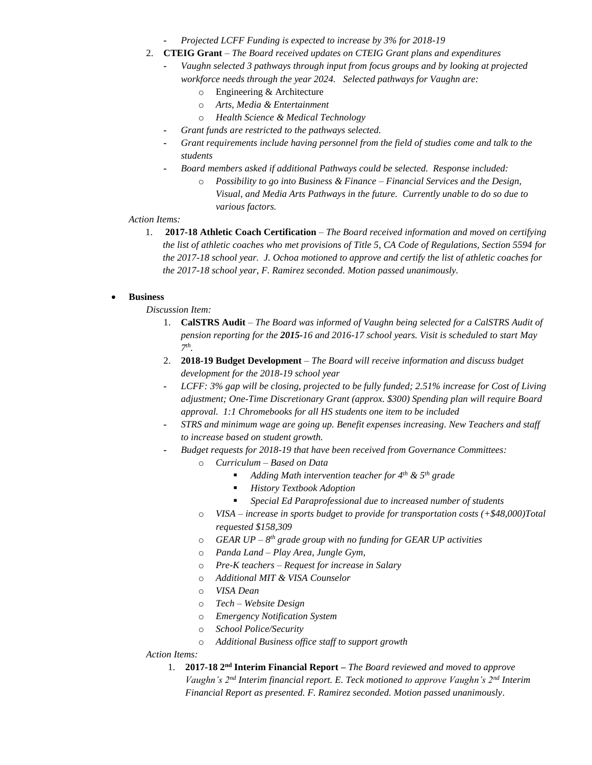- **-** *Projected LCFF Funding is expected to increase by 3% for 2018-19*
- 2. **CTEIG Grant** *The Board received updates on CTEIG Grant plans and expenditures*
	- **-** *Vaughn selected 3 pathways through input from focus groups and by looking at projected workforce needs through the year 2024. Selected pathways for Vaughn are:*
		- o Engineering & Architecture
		- o *Arts, Media & Entertainment*
		- o *Health Science & Medical Technology*
		- **-** *Grant funds are restricted to the pathways selected.*
		- **-** *Grant requirements include having personnel from the field of studies come and talk to the students*
		- **-** *Board members asked if additional Pathways could be selected. Response included:* 
			- o *Possibility to go into Business & Finance – Financial Services and the Design, Visual, and Media Arts Pathways in the future. Currently unable to do so due to various factors.*

*Action Items:*

1. **2017-18 Athletic Coach Certification** – *The Board received information and moved on certifying the list of athletic coaches who met provisions of Title 5, CA Code of Regulations, Section 5594 for the 2017-18 school year. J. Ochoa motioned to approve and certify the list of athletic coaches for the 2017-18 school year, F. Ramirez seconded. Motion passed unanimously.*

# • **Business**

*Discussion Item:*

- 1. **CalSTRS Audit** *The Board was informed of Vaughn being selected for a CalSTRS Audit of pension reporting for the 2015-16 and 2016-17 school years. Visit is scheduled to start May 7 th .*
- 2. **2018-19 Budget Development** *The Board will receive information and discuss budget development for the 2018-19 school year*
- **-** *LCFF: 3% gap will be closing, projected to be fully funded; 2.51% increase for Cost of Living adjustment; One-Time Discretionary Grant (approx. \$300) Spending plan will require Board approval. 1:1 Chromebooks for all HS students one item to be included*
- **-** *STRS and minimum wage are going up. Benefit expenses increasing. New Teachers and staff to increase based on student growth.*
- **-** *Budget requests for 2018-19 that have been received from Governance Committees:*
	- o *Curriculum – Based on Data*
		- *Adding Math intervention teacher for 4th & 5th grade*
		- *History Textbook Adoption*
		- *Special Ed Paraprofessional due to increased number of students*
		- o *VISA – increase in sports budget to provide for transportation costs (+\$48,000)Total requested \$158,309*
		- o *GEAR UP – 8 th grade group with no funding for GEAR UP activities*
	- o *Panda Land – Play Area, Jungle Gym,*
	- o *Pre-K teachers – Request for increase in Salary*
	- o *Additional MIT & VISA Counselor*
	- o *VISA Dean*
	- o *Tech – Website Design*
	- o *Emergency Notification System*
	- o *School Police/Security*
	- o *Additional Business office staff to support growth*
- *Action Items:*
	- 1. **2017-18 2<sup>nd</sup> Interim Financial Report** *The Board reviewed and moved to approve Vaughn's 2nd Interim financial report. E. Teck motioned to approve Vaughn's 2nd Interim Financial Report as presented. F. Ramirez seconded. Motion passed unanimously*.